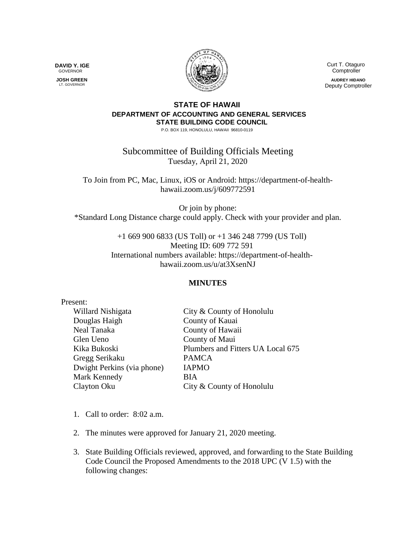**DAVID Y. IGE** GOVERNOR

 **JOSH GREEN** LT. GOVERNOR



 Curt T. Otaguro **Comptroller** 

**AUDREY HIDANO** Deputy Comptroller

## **STATE OF HAWAII DEPARTMENT OF ACCOUNTING AND GENERAL SERVICES STATE BUILDING CODE COUNCIL**

P.O. BOX 119, HONOLULU, HAWAII 96810-0119

Subcommittee of Building Officials Meeting Tuesday, April 21, 2020

To Join from PC, Mac, Linux, iOS or Android: https://department-of-healthhawaii.zoom.us/j/609772591

Or join by phone: \*Standard Long Distance charge could apply. Check with your provider and plan.

> +1 669 900 6833 (US Toll) or +1 346 248 7799 (US Toll) Meeting ID: 609 772 591 International numbers available: https://department-of-healthhawaii.zoom.us/u/at3XsenNJ

## **MINUTES**

| Present:                   |                                   |
|----------------------------|-----------------------------------|
| Willard Nishigata          | City & County of Honolulu         |
| Douglas Haigh              | County of Kauai                   |
| Neal Tanaka                | County of Hawaii                  |
| Glen Ueno                  | County of Maui                    |
| Kika Bukoski               | Plumbers and Fitters UA Local 675 |
| Gregg Serikaku             | <b>PAMCA</b>                      |
| Dwight Perkins (via phone) | <b>IAPMO</b>                      |
| Mark Kennedy               | <b>BIA</b>                        |
| Clayton Oku                | City & County of Honolulu         |
|                            |                                   |

- 1. Call to order: 8:02 a.m.
- 2. The minutes were approved for January 21, 2020 meeting.
- 3. State Building Officials reviewed, approved, and forwarding to the State Building Code Council the Proposed Amendments to the 2018 UPC (V 1.5) with the following changes: